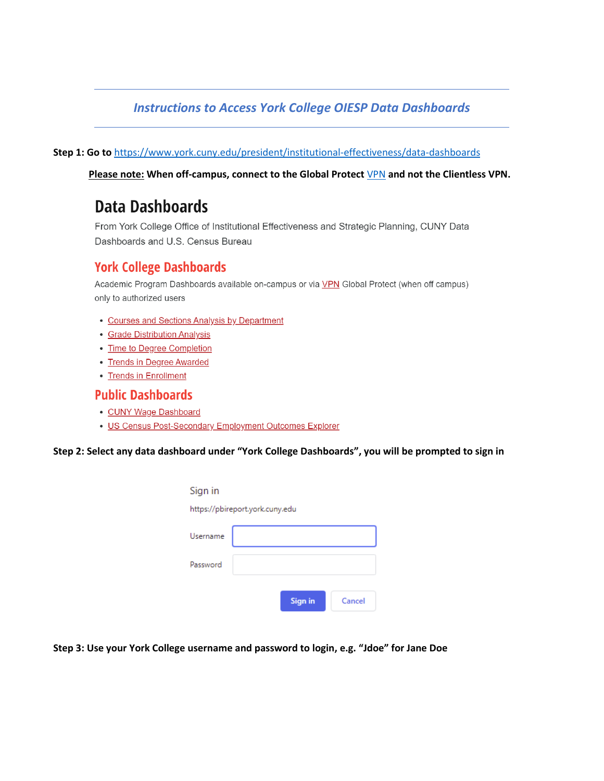### *Instructions to Access York College OIESP Data Dashboards*

**Step 1: Go to** <https://www.york.cuny.edu/president/institutional-effectiveness/data-dashboards>

**Please note: When off-campus, connect to the Global Protect** [VPN](https://www.york.cuny.edu/it/network-access/vpn) **and not the Clientless VPN.** 

# **Data Dashboards**

From York College Office of Institutional Effectiveness and Strategic Planning, CUNY Data Dashboards and U.S. Census Bureau

### **York College Dashboards**

Academic Program Dashboards available on-campus or via VPN Global Protect (when off campus) only to authorized users

- Courses and Sections Analysis by Department
- Grade Distribution Analysis
- Time to Degree Completion
- Trends in Degree Awarded
- Trends in Enrollment

#### **Public Dashboards**

- CUNY Wage Dashboard
- US Census Post-Secondary Employment Outcomes Explorer

**Step 2: Select any data dashboard under "York College Dashboards", you will be prompted to sign in**

| <b>Sign in</b> | Cancel                          |
|----------------|---------------------------------|
|                | https://pbireport.york.cuny.edu |

**Step 3: Use your York College username and password to login, e.g. "Jdoe" for Jane Doe**